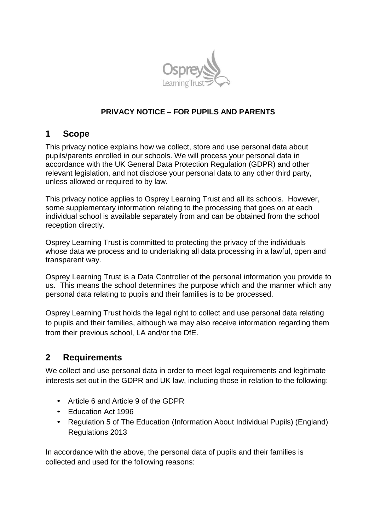

# **PRIVACY NOTICE – FOR PUPILS AND PARENTS**

# **1 Scope**

This privacy notice explains how we collect, store and use personal data about pupils/parents enrolled in our schools. We will process your personal data in accordance with the UK General Data Protection Regulation (GDPR) and other relevant legislation, and not disclose your personal data to any other third party, unless allowed or required to by law.

This privacy notice applies to Osprey Learning Trust and all its schools. However, some supplementary information relating to the processing that goes on at each individual school is available separately from and can be obtained from the school reception directly.

Osprey Learning Trust is committed to protecting the privacy of the individuals whose data we process and to undertaking all data processing in a lawful, open and transparent way.

Osprey Learning Trust is a Data Controller of the personal information you provide to us. This means the school determines the purpose which and the manner which any personal data relating to pupils and their families is to be processed.

Osprey Learning Trust holds the legal right to collect and use personal data relating to pupils and their families, although we may also receive information regarding them from their previous school, LA and/or the DfE.

# **2 Requirements**

We collect and use personal data in order to meet legal requirements and legitimate interests set out in the GDPR and UK law, including those in relation to the following:

- Article 6 and Article 9 of the GDPR
- Education Act 1996
- Regulation 5 of The Education (Information About Individual Pupils) (England) Regulations 2013

In accordance with the above, the personal data of pupils and their families is collected and used for the following reasons: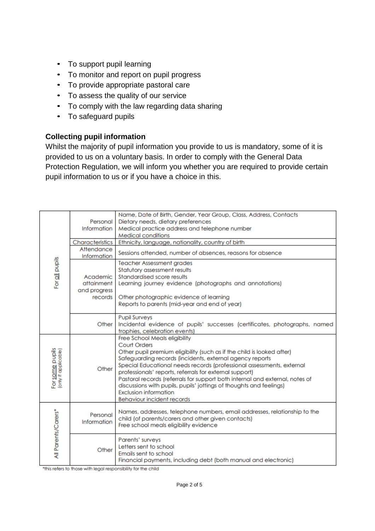- To support pupil learning
- To monitor and report on pupil progress
- To provide appropriate pastoral care
- To assess the quality of our service
- To comply with the law regarding data sharing
- To safeguard pupils

### **Collecting pupil information**

Whilst the majority of pupil information you provide to us is mandatory, some of it is provided to us on a voluntary basis. In order to comply with the General Data Protection Regulation, we will inform you whether you are required to provide certain pupil information to us or if you have a choice in this.

| For all pupils                                | Personal<br>Information                           | Name, Date of Birth, Gender, Year Group, Class, Address, Contacts<br>Dietary needs, dietary preferences<br>Medical practice address and telephone number<br><b>Medical conditions</b>                                                                                                                                                                                                                                                                                                                                                               |  |
|-----------------------------------------------|---------------------------------------------------|-----------------------------------------------------------------------------------------------------------------------------------------------------------------------------------------------------------------------------------------------------------------------------------------------------------------------------------------------------------------------------------------------------------------------------------------------------------------------------------------------------------------------------------------------------|--|
|                                               | Characteristics                                   | Ethnicity, language, nationality, country of birth                                                                                                                                                                                                                                                                                                                                                                                                                                                                                                  |  |
|                                               | Attendance<br>Information                         | Sessions attended, number of absences, reasons for absence                                                                                                                                                                                                                                                                                                                                                                                                                                                                                          |  |
|                                               | Academic<br>attainment<br>and progress<br>records | <b>Teacher Assessment grades</b><br>Statutory assessment results<br>Standardised score results<br>Learning journey evidence (photographs and annotations)<br>Other photographic evidence of learning<br>Reports to parents (mid-year and end of year)                                                                                                                                                                                                                                                                                               |  |
|                                               | Other                                             | <b>Pupil Surveys</b><br>Incidental evidence of pupils' successes (certificates, photographs, named<br>trophies, celebration events)                                                                                                                                                                                                                                                                                                                                                                                                                 |  |
| For <u>some</u> pupils<br>(ony if applicable) | Other                                             | Free School Meals eligibility<br><b>Court Orders</b><br>Other pupil premium eligibility (such as if the child is looked after)<br>Safeguarding records (incidents, external agency reports<br>Special Educational needs records (professional assessments, external<br>professionals' reports, referrals for external support)<br>Pastoral records (referrals for support both internal and external, notes of<br>discussions with pupils, pupils' jottings of thoughts and feelings)<br>Exclusion information<br><b>Behaviour incident records</b> |  |
| All Parents/Carers*                           | Personal<br>Information                           | Names, addresses, telephone numbers, email addresses, relationship to the<br>child (of parents/carers and other given contacts)<br>Free school meals eligibility evidence                                                                                                                                                                                                                                                                                                                                                                           |  |
|                                               | Other                                             | Parents' surveys<br>Letters sent to school<br>Emails sent to school<br>Financial payments, including debt (both manual and electronic)                                                                                                                                                                                                                                                                                                                                                                                                              |  |

\*this refers to those with legal responsibility for the child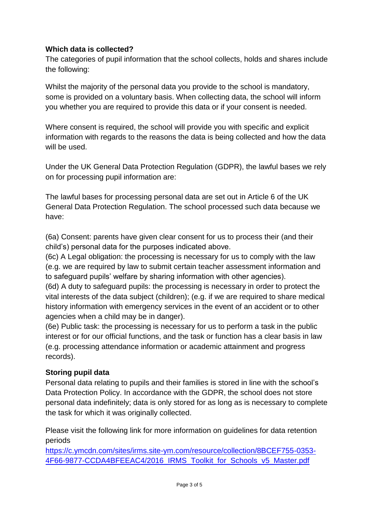### **Which data is collected?**

The categories of pupil information that the school collects, holds and shares include the following:

Whilst the majority of the personal data you provide to the school is mandatory, some is provided on a voluntary basis. When collecting data, the school will inform you whether you are required to provide this data or if your consent is needed.

Where consent is required, the school will provide you with specific and explicit information with regards to the reasons the data is being collected and how the data will be used.

Under the UK General Data Protection Regulation (GDPR), the lawful bases we rely on for processing pupil information are:

The lawful bases for processing personal data are set out in Article 6 of the UK General Data Protection Regulation. The school processed such data because we have:

(6a) Consent: parents have given clear consent for us to process their (and their child's) personal data for the purposes indicated above.

(6c) A Legal obligation: the processing is necessary for us to comply with the law (e.g. we are required by law to submit certain teacher assessment information and to safeguard pupils' welfare by sharing information with other agencies).

(6d) A duty to safeguard pupils: the processing is necessary in order to protect the vital interests of the data subject (children); (e.g. if we are required to share medical history information with emergency services in the event of an accident or to other agencies when a child may be in danger).

(6e) Public task: the processing is necessary for us to perform a task in the public interest or for our official functions, and the task or function has a clear basis in law (e.g. processing attendance information or academic attainment and progress records).

# **Storing pupil data**

Personal data relating to pupils and their families is stored in line with the school's Data Protection Policy. In accordance with the GDPR, the school does not store personal data indefinitely; data is only stored for as long as is necessary to complete the task for which it was originally collected.

Please visit the following link for more information on guidelines for data retention periods

https://c.ymcdn.com/sites/irms.site-ym.com/resource/collection/8BCEF755-0353- 4F66-9877-CCDA4BFEEAC4/2016 IRMS Toolkit for Schools v5 Master.pdf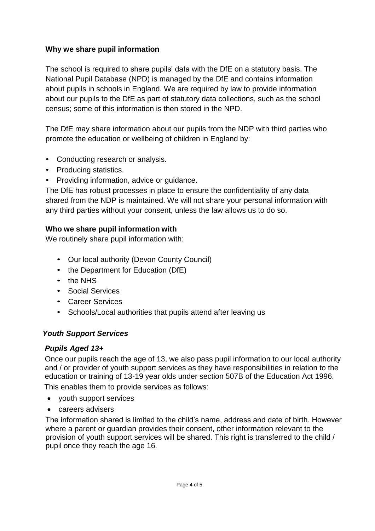### **Why we share pupil information**

The school is required to share pupils' data with the DfE on a statutory basis. The National Pupil Database (NPD) is managed by the DfE and contains information about pupils in schools in England. We are required by law to provide information about our pupils to the DfE as part of statutory data collections, such as the school census; some of this information is then stored in the NPD.

The DfE may share information about our pupils from the NDP with third parties who promote the education or wellbeing of children in England by:

- Conducting research or analysis.
- Producing statistics.
- Providing information, advice or guidance.

The DfE has robust processes in place to ensure the confidentiality of any data shared from the NDP is maintained. We will not share your personal information with any third parties without your consent, unless the law allows us to do so.

#### **Who we share pupil information with**

We routinely share pupil information with:

- Our local authority (Devon County Council)
- the Department for Education (DfE)
- the NHS
- Social Services
- Career Services
- Schools/Local authorities that pupils attend after leaving us

#### *Youth Support Services*

#### *Pupils Aged 13+*

Once our pupils reach the age of 13, we also pass pupil information to our local authority and / or provider of youth support services as they have responsibilities in relation to the education or training of 13-19 year olds under section 507B of the Education Act 1996. This enables them to provide services as follows:

- youth support services
- careers advisers

The information shared is limited to the child's name, address and date of birth. However where a parent or guardian provides their consent, other information relevant to the provision of youth support services will be shared. This right is transferred to the child / pupil once they reach the age 16*.*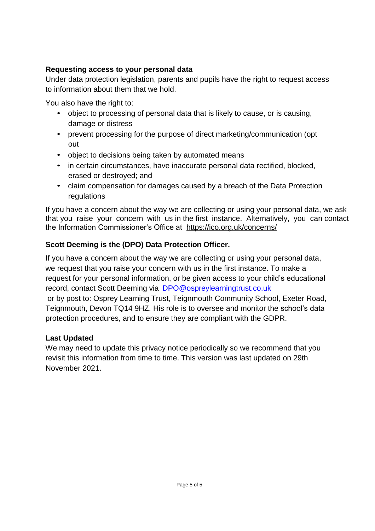### **Requesting access to your personal data**

Under data protection legislation, parents and pupils have the right to request access to information about them that we hold.

You also have the right to:

- object to processing of personal data that is likely to cause, or is causing, damage or distress
- prevent processing for the purpose of direct marketing/communication (opt out
- object to decisions being taken by automated means
- in certain circumstances, have inaccurate personal data rectified, blocked, erased or destroyed; and
- claim compensation for damages caused by a breach of the Data Protection regulations

If you have a concern about the way we are collecting or using your personal data, we ask that you raise your concern with us in the first instance. Alternatively, you can contact the Information Commissioner's Office at https://ico.org.uk/concerns/

# **Scott Deeming is the (DPO) Data Protection Officer.**

If you have a concern about the way we are collecting or using your personal data, we request that you raise your concern with us in the first instance. To make a request for your personal information, or be given access to your child's educational record, contact Scott Deeming via [DPO@ospreylearningtrust.co.uk](mailto:scott.deeming@teignmouth.devon.sch.uk) [o](mailto:scott.deeming@teignmouth.devon.sch.uk)r by post to: Osprey Learning Trust, Teignmouth Community School, Exeter Road, Teignmouth, Devon TQ14 9HZ. His role is to oversee and monitor the school's data protection procedures, and to ensure they are compliant with the GDPR.

# **Last Updated**

We may need to update this privacy notice periodically so we recommend that you revisit this information from time to time. This version was last updated on 29th November 2021.